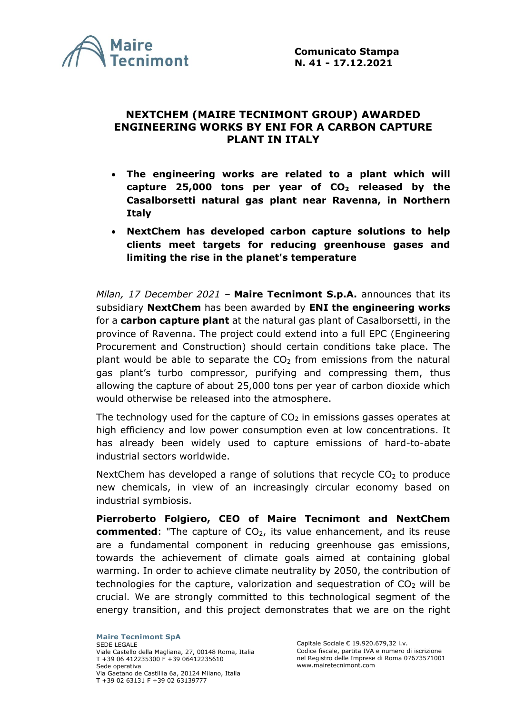

## **NEXTCHEM (MAIRE TECNIMONT GROUP) AWARDED ENGINEERING WORKS BY ENI FOR A CARBON CAPTURE PLANT IN ITALY**

- **The engineering works are related to a plant which will capture 25,000 tons per year of CO<sup>2</sup> released by the Casalborsetti natural gas plant near Ravenna, in Northern Italy**
- **NextChem has developed carbon capture solutions to help clients meet targets for reducing greenhouse gases and limiting the rise in the planet's temperature**

*Milan, 17 December 2021* – **Maire Tecnimont S.p.A.** announces that its subsidiary **NextChem** has been awarded by **ENI the engineering works** for a **carbon capture plant** at the natural gas plant of Casalborsetti, in the province of Ravenna. The project could extend into a full EPC (Engineering Procurement and Construction) should certain conditions take place. The plant would be able to separate the  $CO<sub>2</sub>$  from emissions from the natural gas plant's turbo compressor, purifying and compressing them, thus allowing the capture of about 25,000 tons per year of carbon dioxide which would otherwise be released into the atmosphere.

The technology used for the capture of  $CO<sub>2</sub>$  in emissions gasses operates at high efficiency and low power consumption even at low concentrations. It has already been widely used to capture emissions of hard-to-abate industrial sectors worldwide.

NextChem has developed a range of solutions that recycle  $CO<sub>2</sub>$  to produce new chemicals, in view of an increasingly circular economy based on industrial symbiosis.

**Pierroberto Folgiero, CEO of Maire Tecnimont and NextChem commented**: "The capture of CO<sub>2</sub>, its value enhancement, and its reuse are a fundamental component in reducing greenhouse gas emissions, towards the achievement of climate goals aimed at containing global warming. In order to achieve climate neutrality by 2050, the contribution of technologies for the capture, valorization and sequestration of  $CO<sub>2</sub>$  will be crucial. We are strongly committed to this technological segment of the energy transition, and this project demonstrates that we are on the right